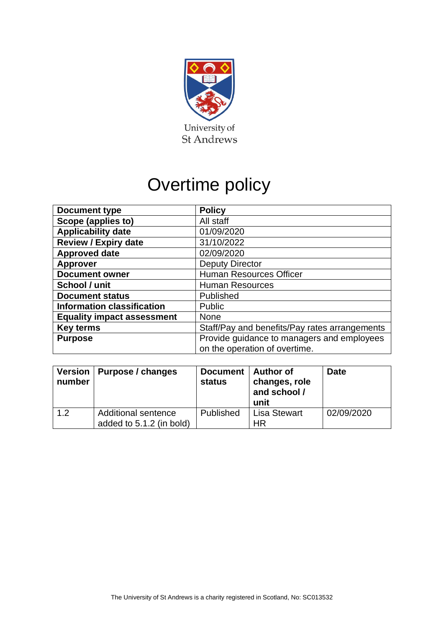

# Overtime policy

| <b>Document type</b>              | <b>Policy</b>                                 |  |  |
|-----------------------------------|-----------------------------------------------|--|--|
| Scope (applies to)                | All staff                                     |  |  |
| <b>Applicability date</b>         | 01/09/2020                                    |  |  |
| <b>Review / Expiry date</b>       | 31/10/2022                                    |  |  |
| <b>Approved date</b>              | 02/09/2020                                    |  |  |
| <b>Approver</b>                   | <b>Deputy Director</b>                        |  |  |
| <b>Document owner</b>             | <b>Human Resources Officer</b>                |  |  |
| School / unit                     | <b>Human Resources</b>                        |  |  |
| <b>Document status</b>            | Published                                     |  |  |
| <b>Information classification</b> | Public                                        |  |  |
| <b>Equality impact assessment</b> | <b>None</b>                                   |  |  |
| <b>Key terms</b>                  | Staff/Pay and benefits/Pay rates arrangements |  |  |
| <b>Purpose</b>                    | Provide guidance to managers and employees    |  |  |
|                                   | on the operation of overtime.                 |  |  |

| number | Version   Purpose / changes                     | Document   Author of<br><b>status</b> | changes, role<br>and school /<br>unit | <b>Date</b> |
|--------|-------------------------------------------------|---------------------------------------|---------------------------------------|-------------|
| 1.2    | Additional sentence<br>added to 5.1.2 (in bold) | Published                             | <b>Lisa Stewart</b><br>HR             | 02/09/2020  |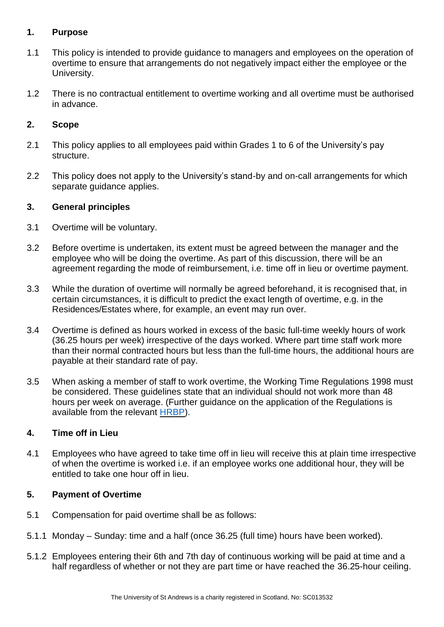## **1. Purpose**

- 1.1 This policy is intended to provide guidance to managers and employees on the operation of overtime to ensure that arrangements do not negatively impact either the employee or the University.
- 1.2 There is no contractual entitlement to overtime working and all overtime must be authorised in advance.

## **2. Scope**

- 2.1 This policy applies to all employees paid within Grades 1 to 6 of the University's pay structure.
- 2.2 This policy does not apply to the University's stand-by and on-call arrangements for which separate guidance applies.

### **3. General principles**

- 3.1 Overtime will be voluntary.
- 3.2 Before overtime is undertaken, its extent must be agreed between the manager and the employee who will be doing the overtime. As part of this discussion, there will be an agreement regarding the mode of reimbursement, i.e. time off in lieu or overtime payment.
- 3.3 While the duration of overtime will normally be agreed beforehand, it is recognised that, in certain circumstances, it is difficult to predict the exact length of overtime, e.g. in the Residences/Estates where, for example, an event may run over.
- 3.4 Overtime is defined as hours worked in excess of the basic full-time weekly hours of work (36.25 hours per week) irrespective of the days worked. Where part time staff work more than their normal contracted hours but less than the full-time hours, the additional hours are payable at their standard rate of pay.
- 3.5 When asking a member of staff to work overtime, the Working Time Regulations 1998 must be considered. These guidelines state that an individual should not work more than 48 hours per week on average. (Further guidance on the application of the Regulations is available from the relevant [HRBP\)](https://www.st-andrews.ac.uk/hr/businesspartner/).

### **4. Time off in Lieu**

4.1 Employees who have agreed to take time off in lieu will receive this at plain time irrespective of when the overtime is worked i.e. if an employee works one additional hour, they will be entitled to take one hour off in lieu.

### **5. Payment of Overtime**

- 5.1 Compensation for paid overtime shall be as follows:
- 5.1.1 Monday Sunday: time and a half (once 36.25 (full time) hours have been worked).
- 5.1.2 Employees entering their 6th and 7th day of continuous working will be paid at time and a half regardless of whether or not they are part time or have reached the 36.25-hour ceiling.